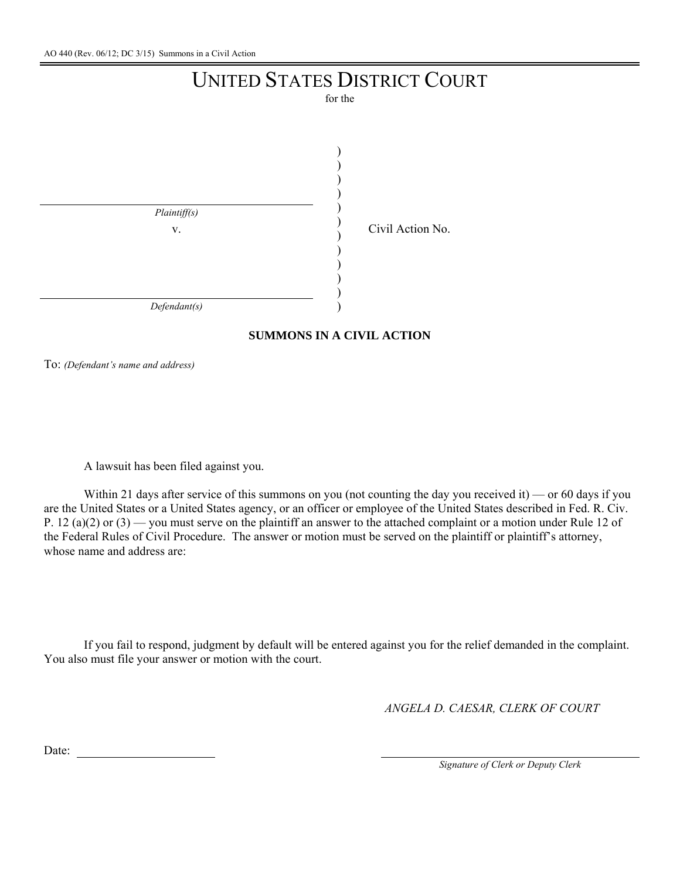## UNITED STATES DISTRICT COURT

for the

| Plaintiff(s) |  |
|--------------|--|
| V.           |  |
|              |  |
|              |  |
|              |  |
|              |  |
| Defendant(s) |  |

Civil Action No.

**SUMMONS IN A CIVIL ACTION**

To: *(Defendant's name and address)*

A lawsuit has been filed against you.

Within 21 days after service of this summons on you (not counting the day you received it) — or 60 days if you are the United States or a United States agency, or an officer or employee of the United States described in Fed. R. Civ. P. 12 (a)(2) or  $(3)$  — you must serve on the plaintiff an answer to the attached complaint or a motion under Rule 12 of the Federal Rules of Civil Procedure. The answer or motion must be served on the plaintiff or plaintiff's attorney, whose name and address are:

If you fail to respond, judgment by default will be entered against you for the relief demanded in the complaint. You also must file your answer or motion with the court.

*ANGELA D. CAESAR, CLERK OF COURT*

Date:

*Signature of Clerk or Deputy Clerk*